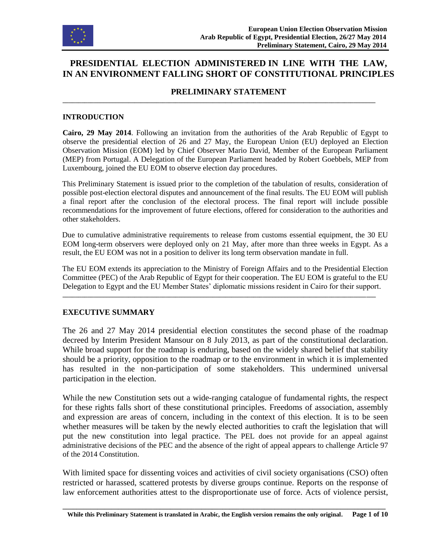

# **PRESIDENTIAL ELECTION ADMINISTERED IN LINE WITH THE LAW, IN AN ENVIRONMENT FALLING SHORT OF CONSTITUTIONAL PRINCIPLES**

#### **PRELIMINARY STATEMENT**

**\_\_\_\_\_\_\_\_\_\_\_\_\_\_\_\_\_\_\_\_\_\_\_\_\_\_\_\_\_\_\_\_\_\_\_\_\_\_\_\_\_\_\_\_\_\_\_\_\_\_\_\_\_\_\_\_\_\_\_\_\_\_\_\_\_\_\_\_\_\_\_\_\_\_\_\_\_\_\_\_\_\_\_\_\_\_\_\_\_\_\_\_\_\_\_\_\_\_\_\_**

#### **INTRODUCTION**

**Cairo, 29 May 2014**. Following an invitation from the authorities of the Arab Republic of Egypt to observe the presidential election of 26 and 27 May, the European Union (EU) deployed an Election Observation Mission (EOM) led by Chief Observer Mario David, Member of the European Parliament (MEP) from Portugal. A Delegation of the European Parliament headed by Robert Goebbels, MEP from Luxembourg, joined the EU EOM to observe election day procedures.

This Preliminary Statement is issued prior to the completion of the tabulation of results, consideration of possible post-election electoral disputes and announcement of the final results. The EU EOM will publish a final report after the conclusion of the electoral process. The final report will include possible recommendations for the improvement of future elections, offered for consideration to the authorities and other stakeholders.

Due to cumulative administrative requirements to release from customs essential equipment, the 30 EU EOM long-term observers were deployed only on 21 May, after more than three weeks in Egypt. As a result, the EU EOM was not in a position to deliver its long term observation mandate in full.

The EU EOM extends its appreciation to the Ministry of Foreign Affairs and to the Presidential Election Committee (PEC) of the Arab Republic of Egypt for their cooperation. The EU EOM is grateful to the EU Delegation to Egypt and the EU Member States' diplomatic missions resident in Cairo for their support.

**\_\_\_\_\_\_\_\_\_\_\_\_\_\_\_\_\_\_\_\_\_\_\_\_\_\_\_\_\_\_\_\_\_\_\_\_\_\_\_\_\_\_\_\_\_\_\_\_\_\_\_\_\_\_\_\_\_\_\_\_\_\_\_\_\_\_\_\_\_\_\_\_\_\_\_\_\_\_\_\_\_\_\_\_\_\_\_\_\_\_\_\_\_\_\_\_\_\_\_\_**

#### **EXECUTIVE SUMMARY**

The 26 and 27 May 2014 presidential election constitutes the second phase of the roadmap decreed by Interim President Mansour on 8 July 2013, as part of the constitutional declaration. While broad support for the roadmap is enduring, based on the widely shared belief that stability should be a priority, opposition to the roadmap or to the environment in which it is implemented has resulted in the non-participation of some stakeholders. This undermined universal participation in the election.

While the new Constitution sets out a wide-ranging catalogue of fundamental rights, the respect for these rights falls short of these constitutional principles. Freedoms of association, assembly and expression are areas of concern, including in the context of this election. It is to be seen whether measures will be taken by the newly elected authorities to craft the legislation that will put the new constitution into legal practice. The PEL does not provide for an appeal against administrative decisions of the PEC and the absence of the right of appeal appears to challenge Article 97 of the 2014 Constitution.

With limited space for dissenting voices and activities of civil society organisations (CSO) often restricted or harassed, scattered protests by diverse groups continue. Reports on the response of law enforcement authorities attest to the disproportionate use of force. Acts of violence persist,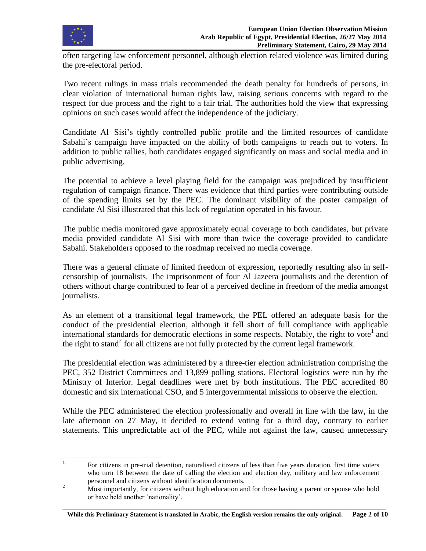

often targeting law enforcement personnel, although election related violence was limited during the pre-electoral period.

Two recent rulings in mass trials recommended the death penalty for hundreds of persons, in clear violation of international human rights law, raising serious concerns with regard to the respect for due process and the right to a fair trial. The authorities hold the view that expressing opinions on such cases would affect the independence of the judiciary.

Candidate Al Sisi's tightly controlled public profile and the limited resources of candidate Sabahi's campaign have impacted on the ability of both campaigns to reach out to voters. In addition to public rallies, both candidates engaged significantly on mass and social media and in public advertising.

The potential to achieve a level playing field for the campaign was prejudiced by insufficient regulation of campaign finance. There was evidence that third parties were contributing outside of the spending limits set by the PEC. The dominant visibility of the poster campaign of candidate Al Sisi illustrated that this lack of regulation operated in his favour.

The public media monitored gave approximately equal coverage to both candidates, but private media provided candidate Al Sisi with more than twice the coverage provided to candidate Sabahi. Stakeholders opposed to the roadmap received no media coverage.

There was a general climate of limited freedom of expression, reportedly resulting also in selfcensorship of journalists. The imprisonment of four Al Jazeera journalists and the detention of others without charge contributed to fear of a perceived decline in freedom of the media amongst journalists.

As an element of a transitional legal framework, the PEL offered an adequate basis for the conduct of the presidential election, although it fell short of full compliance with applicable international standards for democratic elections in some respects. Notably, the right to vote<sup>1</sup> and the right to stand<sup>2</sup> for all citizens are not fully protected by the current legal framework.

The presidential election was administered by a three-tier election administration comprising the PEC, 352 District Committees and 13,899 polling stations. Electoral logistics were run by the Ministry of Interior. Legal deadlines were met by both institutions. The PEC accredited 80 domestic and six international CSO, and 5 intergovernmental missions to observe the election.

While the PEC administered the election professionally and overall in line with the law, in the late afternoon on 27 May, it decided to extend voting for a third day, contrary to earlier statements. This unpredictable act of the PEC, while not against the law, caused unnecessary

<sup>|&</sup>lt;br>|<br>| For citizens in pre-trial detention, naturalised citizens of less than five years duration, first time voters who turn 18 between the date of calling the election and election day, military and law enforcement personnel and citizens without identification documents.

<sup>&</sup>lt;sup>2</sup> Most importantly, for citizens without high education and for those having a parent or spouse who hold or have held another 'nationality'.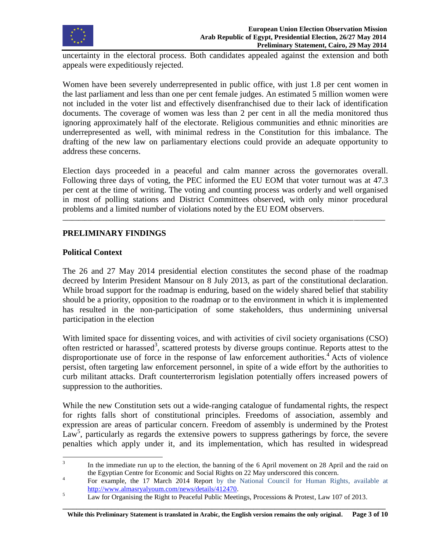

uncertainty in the electoral process. Both candidates appealed against the extension and both appeals were expeditiously rejected.

Women have been severely underrepresented in public office, with just 1.8 per cent women in the last parliament and less than one per cent female judges. An estimated 5 million women were not included in the voter list and effectively disenfranchised due to their lack of identification documents. The coverage of women was less than 2 per cent in all the media monitored thus ignoring approximately half of the electorate. Religious communities and ethnic minorities are underrepresented as well, with minimal redress in the Constitution for this imbalance. The drafting of the new law on parliamentary elections could provide an adequate opportunity to address these concerns.

Election days proceeded in a peaceful and calm manner across the governorates overall. Following three days of voting, the PEC informed the EU EOM that voter turnout was at 47.3 per cent at the time of writing. The voting and counting process was orderly and well organised in most of polling stations and District Committees observed, with only minor procedural problems and a limited number of violations noted by the EU EOM observers.

**\_\_\_\_\_\_\_\_\_\_\_\_\_\_\_\_\_\_\_\_\_\_\_\_\_\_\_\_\_\_\_\_\_\_\_\_\_\_\_\_\_\_\_\_\_\_\_\_\_\_\_\_\_\_\_\_\_\_\_\_\_\_\_\_\_\_\_\_\_\_\_\_\_\_\_\_\_\_\_\_\_\_\_\_\_\_\_\_\_\_\_\_\_\_\_\_\_\_\_\_\_\_\_**

# **PRELIMINARY FINDINGS**

# **Political Context**

The 26 and 27 May 2014 presidential election constitutes the second phase of the roadmap decreed by Interim President Mansour on 8 July 2013, as part of the constitutional declaration. While broad support for the roadmap is enduring, based on the widely shared belief that stability should be a priority, opposition to the roadmap or to the environment in which it is implemented has resulted in the non-participation of some stakeholders, thus undermining universal participation in the election

With limited space for dissenting voices, and with activities of civil society organisations (CSO) often restricted or harassed<sup>3</sup>, scattered protests by diverse groups continue. Reports attest to the disproportionate use of force in the response of law enforcement authorities.<sup>4</sup> Acts of violence persist, often targeting law enforcement personnel, in spite of a wide effort by the authorities to curb militant attacks. Draft counterterrorism legislation potentially offers increased powers of suppression to the authorities.

While the new Constitution sets out a wide-ranging catalogue of fundamental rights, the respect for rights falls short of constitutional principles. Freedoms of association, assembly and expression are areas of particular concern. Freedom of assembly is undermined by the Protest  $Law<sup>5</sup>$ , particularly as regards the extensive powers to suppress gatherings by force, the severe penalties which apply under it, and its implementation, which has resulted in widespread

<sup>&</sup>lt;sup>2</sup><br>3 In the immediate run up to the election, the banning of the 6 April movement on 28 April and the raid on the Egyptian Centre for Economic and Social Rights on 22 May underscored this concern.

<sup>4</sup> For example, the 17 March 2014 Report by the National Council for Human Rights, available at [http://www.almasryalyoum.com/news/details/412470.](http://www.almasryalyoum.com/news/details/412470)

<sup>&</sup>lt;sup>5</sup> Law for Organising the Right to Peaceful Public Meetings, Processions & Protest, Law 107 of 2013.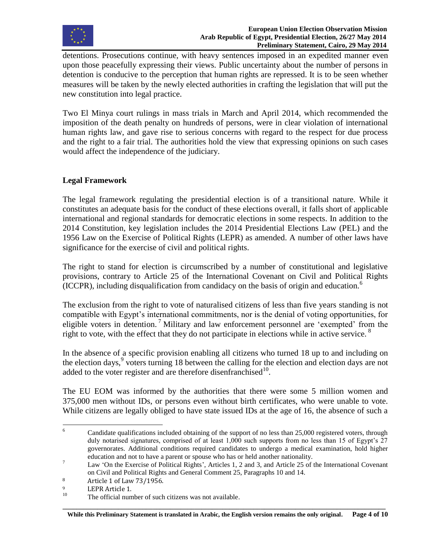

detentions. Prosecutions continue, with heavy sentences imposed in an expedited manner even upon those peacefully expressing their views. Public uncertainty about the number of persons in detention is conducive to the perception that human rights are repressed. It is to be seen whether measures will be taken by the newly elected authorities in crafting the legislation that will put the new constitution into legal practice.

Two El Minya court rulings in mass trials in March and April 2014, which recommended the imposition of the death penalty on hundreds of persons, were in clear violation of international human rights law, and gave rise to serious concerns with regard to the respect for due process and the right to a fair trial. The authorities hold the view that expressing opinions on such cases would affect the independence of the judiciary.

# **Legal Framework**

The legal framework regulating the presidential election is of a transitional nature. While it constitutes an adequate basis for the conduct of these elections overall, it falls short of applicable international and regional standards for democratic elections in some respects. In addition to the 2014 Constitution, key legislation includes the 2014 Presidential Elections Law (PEL) and the 1956 Law on the Exercise of Political Rights (LEPR) as amended. A number of other laws have significance for the exercise of civil and political rights.

The right to stand for election is circumscribed by a number of constitutional and legislative provisions, contrary to Article 25 of the International Covenant on Civil and Political Rights (ICCPR), including disqualification from candidacy on the basis of origin and education.<sup>6</sup>

The exclusion from the right to vote of naturalised citizens of less than five years standing is not compatible with Egypt's international commitments, nor is the denial of voting opportunities, for eligible voters in detention.<sup>7</sup> Military and law enforcement personnel are 'exempted' from the right to vote, with the effect that they do not participate in elections while in active service.  $8$ 

In the absence of a specific provision enabling all citizens who turned 18 up to and including on the election days,<sup>9</sup> voters turning 18 between the calling for the election and election days are not added to the voter register and are therefore disenfranchised $10$ .

The EU EOM was informed by the authorities that there were some 5 million women and 375,000 men without IDs, or persons even without birth certificates, who were unable to vote. While citizens are legally obliged to have state issued IDs at the age of 16, the absence of such a

 $6\overline{6}$ Candidate qualifications included obtaining of the support of no less than 25,000 registered voters, through duly notarised signatures, comprised of at least 1,000 such supports from no less than 15 of Egypt's 27 governorates. Additional conditions required candidates to undergo a medical examination, hold higher education and not to have a parent or spouse who has or held another nationality.

<sup>&</sup>lt;sup>7</sup> Law 'On the Exercise of Political Rights', Articles 1, 2 and 3, and Article 25 of the International Covenant on Civil and Political Rights and General Comment 25, Paragraphs 10 and 14.

<sup>8</sup> Article 1 of Law 73/1956.

 $^{9}$  LEPR Article 1.

The official number of such citizens was not available.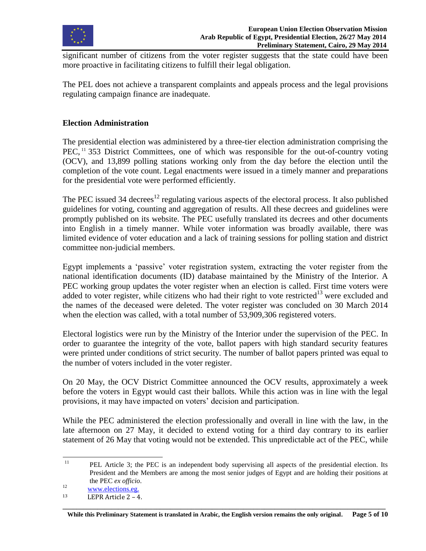

significant number of citizens from the voter register suggests that the state could have been more proactive in facilitating citizens to fulfill their legal obligation.

The PEL does not achieve a transparent complaints and appeals process and the legal provisions regulating campaign finance are inadequate.

### **Election Administration**

The presidential election was administered by a three-tier election administration comprising the  $PEC$ ,  $11$  353 District Committees, one of which was responsible for the out-of-country voting (OCV), and 13,899 polling stations working only from the day before the election until the completion of the vote count. Legal enactments were issued in a timely manner and preparations for the presidential vote were performed efficiently.

The PEC issued 34 decrees<sup>12</sup> regulating various aspects of the electoral process. It also published guidelines for voting, counting and aggregation of results. All these decrees and guidelines were promptly published on its website. The PEC usefully translated its decrees and other documents into English in a timely manner. While voter information was broadly available, there was limited evidence of voter education and a lack of training sessions for polling station and district committee non-judicial members.

Egypt implements a 'passive' voter registration system, extracting the voter register from the national identification documents (ID) database maintained by the Ministry of the Interior. A PEC working group updates the voter register when an election is called. First time voters were added to voter register, while citizens who had their right to vote restricted<sup>13</sup> were excluded and the names of the deceased were deleted. The voter register was concluded on 30 March 2014 when the election was called, with a total number of 53,909,306 registered voters.

Electoral logistics were run by the Ministry of the Interior under the supervision of the PEC. In order to guarantee the integrity of the vote, ballot papers with high standard security features were printed under conditions of strict security. The number of ballot papers printed was equal to the number of voters included in the voter register.

On 20 May, the OCV District Committee announced the OCV results, approximately a week before the voters in Egypt would cast their ballots. While this action was in line with the legal provisions, it may have impacted on voters' decision and participation.

While the PEC administered the election professionally and overall in line with the law, in the late afternoon on 27 May, it decided to extend voting for a third day contrary to its earlier statement of 26 May that voting would not be extended. This unpredictable act of the PEC, while

 $11\,$ <sup>11</sup> PEL Article 3; the PEC is an independent body supervising all aspects of the presidential election. Its President and the Members are among the most senior judges of Egypt and are holding their positions at the PEC *ex officio*.

<sup>&</sup>lt;sup>12</sup> [www.elections.eg.](http://www.elections.eg/)

 $13$  LEPR Article  $2 - 4$ .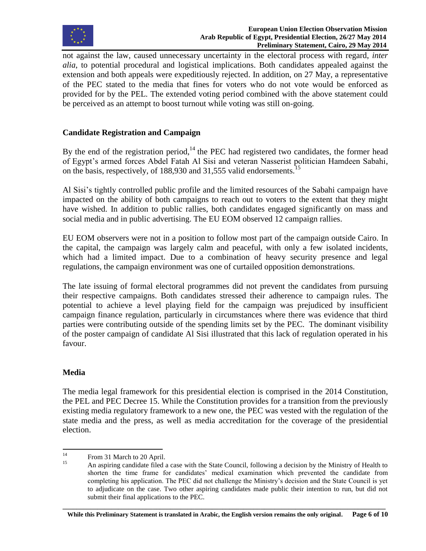

not against the law, caused unnecessary uncertainty in the electoral process with regard, *inter alia*, to potential procedural and logistical implications. Both candidates appealed against the extension and both appeals were expeditiously rejected. In addition, on 27 May, a representative of the PEC stated to the media that fines for voters who do not vote would be enforced as provided for by the PEL. The extended voting period combined with the above statement could be perceived as an attempt to boost turnout while voting was still on-going.

# **Candidate Registration and Campaign**

By the end of the registration period, $14$  the PEC had registered two candidates, the former head of Egypt's armed forces Abdel Fatah Al Sisi and veteran Nasserist politician Hamdeen Sabahi, on the basis, respectively, of 188,930 and 31,555 valid endorsements.<sup>15</sup>

Al Sisi's tightly controlled public profile and the limited resources of the Sabahi campaign have impacted on the ability of both campaigns to reach out to voters to the extent that they might have wished. In addition to public rallies, both candidates engaged significantly on mass and social media and in public advertising. The EU EOM observed 12 campaign rallies.

EU EOM observers were not in a position to follow most part of the campaign outside Cairo. In the capital, the campaign was largely calm and peaceful, with only a few isolated incidents, which had a limited impact. Due to a combination of heavy security presence and legal regulations, the campaign environment was one of curtailed opposition demonstrations.

The late issuing of formal electoral programmes did not prevent the candidates from pursuing their respective campaigns. Both candidates stressed their adherence to campaign rules. The potential to achieve a level playing field for the campaign was prejudiced by insufficient campaign finance regulation, particularly in circumstances where there was evidence that third parties were contributing outside of the spending limits set by the PEC. The dominant visibility of the poster campaign of candidate Al Sisi illustrated that this lack of regulation operated in his favour.

# **Media**

The media legal framework for this presidential election is comprised in the 2014 Constitution, the PEL and PEC Decree 15. While the Constitution provides for a transition from the previously existing media regulatory framework to a new one, the PEC was vested with the regulation of the state media and the press, as well as media accreditation for the coverage of the presidential election.

 $14$  $^{14}$  From 31 March to 20 April.

<sup>15</sup> An aspiring candidate filed a case with the State Council, following a decision by the Ministry of Health to shorten the time frame for candidates' medical examination which prevented the candidate from completing his application. The PEC did not challenge the Ministry's decision and the State Council is yet to adjudicate on the case. Two other aspiring candidates made public their intention to run, but did not submit their final applications to the PEC.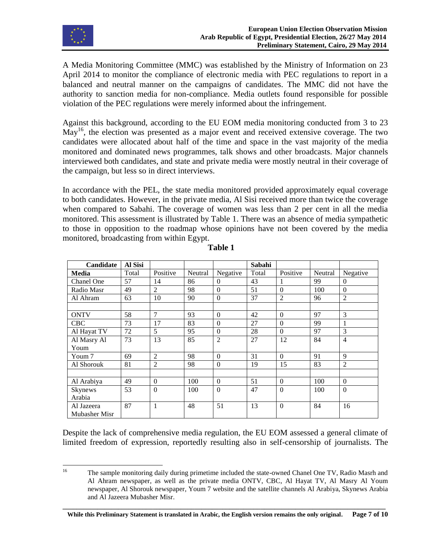

A Media Monitoring Committee (MMC) was established by the Ministry of Information on 23 April 2014 to monitor the compliance of electronic media with PEC regulations to report in a balanced and neutral manner on the campaigns of candidates. The MMC did not have the authority to sanction media for non-compliance. Media outlets found responsible for possible violation of the PEC regulations were merely informed about the infringement.

Against this background, according to the EU EOM media monitoring conducted from 3 to 23  $May<sup>16</sup>$ , the election was presented as a major event and received extensive coverage. The two candidates were allocated about half of the time and space in the vast majority of the media monitored and dominated news programmes, talk shows and other broadcasts. Major channels interviewed both candidates, and state and private media were mostly neutral in their coverage of the campaign, but less so in direct interviews.

In accordance with the PEL, the state media monitored provided approximately equal coverage to both candidates. However, in the private media, Al Sisi received more than twice the coverage when compared to Sabahi. The coverage of women was less than 2 per cent in all the media monitored. This assessment is illustrated by Table 1. There was an absence of media sympathetic to those in opposition to the roadmap whose opinions have not been covered by the media monitored, broadcasting from within Egypt.

| Candidate     | Al Sisi |                  |         |                  | Sabahi |                  |         |                |
|---------------|---------|------------------|---------|------------------|--------|------------------|---------|----------------|
| Media         | Total   | Positive         | Neutral | Negative         | Total  | Positive         | Neutral | Negative       |
| Chanel One    | 57      | 14               | 86      | $\Omega$         | 43     |                  | 99      | $\Omega$       |
| Radio Masr    | 49      | $\overline{2}$   | 98      | $\boldsymbol{0}$ | 51     | $\boldsymbol{0}$ | 100     | $\mathbf{0}$   |
| Al Ahram      | 63      | 10               | 90      | $\boldsymbol{0}$ | 37     | $\overline{2}$   | 96      | $\overline{2}$ |
|               |         |                  |         |                  |        |                  |         |                |
| <b>ONTV</b>   | 58      | 7                | 93      | $\theta$         | 42     | $\theta$         | 97      | 3              |
| <b>CBC</b>    | 73      | 17               | 83      | $\theta$         | 27     | $\theta$         | 99      | 1              |
| Al Hayat TV   | 72      | 5                | 95      | $\theta$         | 28     | $\theta$         | 97      | 3              |
| Al Masry Al   | 73      | 13               | 85      | $\overline{2}$   | 27     | 12               | 84      | $\overline{4}$ |
| Youm          |         |                  |         |                  |        |                  |         |                |
| Youm 7        | 69      | $\overline{c}$   | 98      | $\Omega$         | 31     | $\mathbf{0}$     | 91      | 9              |
| Al Shorouk    | 81      | 2                | 98      | $\boldsymbol{0}$ | 19     | 15               | 83      | $\overline{2}$ |
|               |         |                  |         |                  |        |                  |         |                |
| Al Arabiya    | 49      | $\Omega$         | 100     | $\Omega$         | 51     | $\Omega$         | 100     | $\Omega$       |
| Skynews       | 53      | $\boldsymbol{0}$ | 100     | $\boldsymbol{0}$ | 47     | $\mathbf{0}$     | 100     | $\mathbf{0}$   |
| Arabia        |         |                  |         |                  |        |                  |         |                |
| Al Jazeera    | 87      | $\mathbf{1}$     | 48      | 51               | 13     | $\mathbf{0}$     | 84      | 16             |
| Mubasher Misr |         |                  |         |                  |        |                  |         |                |

**Table 1**

Despite the lack of comprehensive media regulation, the EU EOM assessed a general climate of limited freedom of expression, reportedly resulting also in self-censorship of journalists. The

 $16$ <sup>16</sup> The sample monitoring daily during primetime included the state-owned Chanel One TV, Radio Masrh and Al Ahram newspaper, as well as the private media ONTV, CBC, Al Hayat TV, Al Masry Al Youm newspaper, Al Shorouk newspaper, Youm 7 website and the satellite channels Al Arabiya, Skynews Arabia and Al Jazeera Mubasher Misr.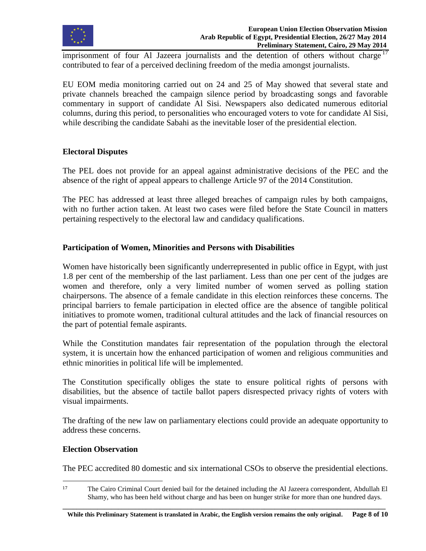

imprisonment of four Al Jazeera journalists and the detention of others without charge <sup>17</sup> contributed to fear of a perceived declining freedom of the media amongst journalists.

EU EOM media monitoring carried out on 24 and 25 of May showed that several state and private channels breached the campaign silence period by broadcasting songs and favorable commentary in support of candidate Al Sisi. Newspapers also dedicated numerous editorial columns, during this period, to personalities who encouraged voters to vote for candidate Al Sisi, while describing the candidate Sabahi as the inevitable loser of the presidential election.

### **Electoral Disputes**

The PEL does not provide for an appeal against administrative decisions of the PEC and the absence of the right of appeal appears to challenge Article 97 of the 2014 Constitution.

The PEC has addressed at least three alleged breaches of campaign rules by both campaigns, with no further action taken. At least two cases were filed before the State Council in matters pertaining respectively to the electoral law and candidacy qualifications.

### **Participation of Women, Minorities and Persons with Disabilities**

Women have historically been significantly underrepresented in public office in Egypt, with just 1.8 per cent of the membership of the last parliament. Less than one per cent of the judges are women and therefore, only a very limited number of women served as polling station chairpersons. The absence of a female candidate in this election reinforces these concerns. The principal barriers to female participation in elected office are the absence of tangible political initiatives to promote women, traditional cultural attitudes and the lack of financial resources on the part of potential female aspirants.

While the Constitution mandates fair representation of the population through the electoral system, it is uncertain how the enhanced participation of women and religious communities and ethnic minorities in political life will be implemented.

The Constitution specifically obliges the state to ensure political rights of persons with disabilities, but the absence of tactile ballot papers disrespected privacy rights of voters with visual impairments.

The drafting of the new law on parliamentary elections could provide an adequate opportunity to address these concerns.

#### **Election Observation**

 $\overline{\phantom{a}}$ 

The PEC accredited 80 domestic and six international CSOs to observe the presidential elections.

<sup>17</sup> The Cairo Criminal Court denied bail for the detained including the Al Jazeera correspondent, Abdullah El Shamy, who has been held without charge and has been on hunger strike for more than one hundred days.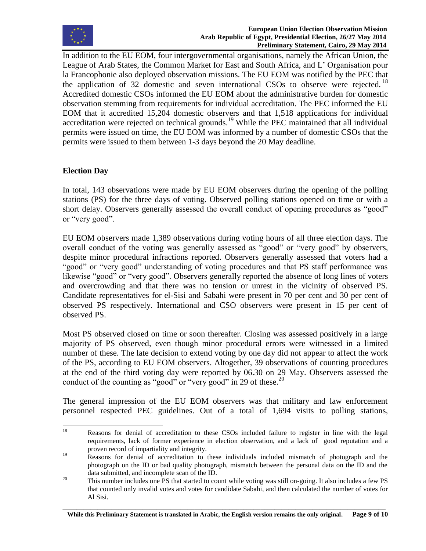

In addition to the EU EOM, four intergovernmental organisations, namely the African Union, the League of Arab States, the Common Market for East and South Africa, and L' Organisation pour la Francophonie also deployed observation missions. The EU EOM was notified by the PEC that the application of 32 domestic and seven international CSOs to observe were rejected.<sup>18</sup> Accredited domestic CSOs informed the EU EOM about the administrative burden for domestic observation stemming from requirements for individual accreditation. The PEC informed the EU EOM that it accredited 15,204 domestic observers and that 1,518 applications for individual accreditation were rejected on technical grounds.<sup>19</sup> While the PEC maintained that all individual permits were issued on time, the EU EOM was informed by a number of domestic CSOs that the permits were issued to them between 1-3 days beyond the 20 May deadline.

# **Election Day**

In total, 143 observations were made by EU EOM observers during the opening of the polling stations (PS) for the three days of voting. Observed polling stations opened on time or with a short delay. Observers generally assessed the overall conduct of opening procedures as "good" or "very good".

EU EOM observers made 1,389 observations during voting hours of all three election days. The overall conduct of the voting was generally assessed as "good" or "very good" by observers, despite minor procedural infractions reported. Observers generally assessed that voters had a "good" or "very good" understanding of voting procedures and that PS staff performance was likewise "good" or "very good". Observers generally reported the absence of long lines of voters and overcrowding and that there was no tension or unrest in the vicinity of observed PS. Candidate representatives for el-Sisi and Sabahi were present in 70 per cent and 30 per cent of observed PS respectively. International and CSO observers were present in 15 per cent of observed PS.

Most PS observed closed on time or soon thereafter. Closing was assessed positively in a large majority of PS observed, even though minor procedural errors were witnessed in a limited number of these. The late decision to extend voting by one day did not appear to affect the work of the PS, according to EU EOM observers. Altogether, 39 observations of counting procedures at the end of the third voting day were reported by 06.30 on 29 May. Observers assessed the conduct of the counting as "good" or "very good" in 29 of these.<sup>20</sup>

The general impression of the EU EOM observers was that military and law enforcement personnel respected PEC guidelines. Out of a total of 1,694 visits to polling stations,

<sup>18</sup> <sup>18</sup> Reasons for denial of accreditation to these CSOs included failure to register in line with the legal requirements, lack of former experience in election observation, and a lack of good reputation and a proven record of impartiality and integrity.

<sup>&</sup>lt;sup>19</sup> Reasons for denial of accreditation to these individuals included mismatch of photograph and the photograph on the ID or bad quality photograph, mismatch between the personal data on the ID and the data submitted, and incomplete scan of the ID.

<sup>&</sup>lt;sup>20</sup> This number includes one PS that started to count while voting was still on-going. It also includes a few PS that counted only invalid votes and votes for candidate Sabahi, and then calculated the number of votes for Al Sisi.